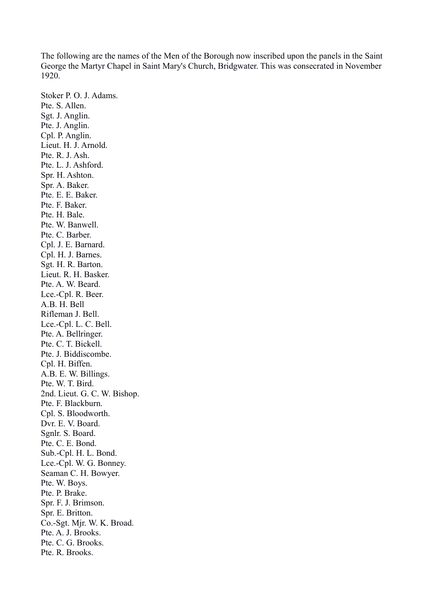The following are the names of the Men of the Borough now inscribed upon the panels in the Saint George the Martyr Chapel in Saint Mary's Church, Bridgwater. This was consecrated in November 1920.

Stoker P. O. J. Adams. Pte. S. Allen. Sgt. J. Anglin. Pte. J. Anglin. Cpl. P. Anglin. Lieut. H. J. Arnold. Pte. R. J. Ash. Pte. L. J. Ashford. Spr. H. Ashton. Spr. A. Baker. Pte. E. E. Baker. Pte. F. Baker. Pte. H. Bale. Pte. W. Banwell. Pte. C. Barber. Cpl. J. E. Barnard. Cpl. H. J. Barnes. Sgt. H. R. Barton. Lieut. R. H. Basker. Pte. A. W. Beard. Lce.-Cpl. R. Beer. A.B. H. Bell Rifleman J. Bell. Lce.-Cpl. L. C. Bell. Pte. A. Bellringer. Pte. C. T. Bickell. Pte. J. Biddiscombe. Cpl. H. Biffen. A.B. E. W. Billings. Pte. W. T. Bird. 2nd. Lieut. G. C. W. Bishop. Pte. F. Blackburn. Cpl. S. Bloodworth. Dvr. E. V. Board. Sgnlr. S. Board. Pte. C. E. Bond. Sub.-Cpl. H. L. Bond. Lce.-Cpl. W. G. Bonney. Seaman C. H. Bowyer. Pte. W. Boys. Pte. P. Brake. Spr. F. J. Brimson. Spr. E. Britton. Co.-Sgt. Mjr. W. K. Broad. Pte. A. J. Brooks. Pte. C. G. Brooks. Pte. R. Brooks.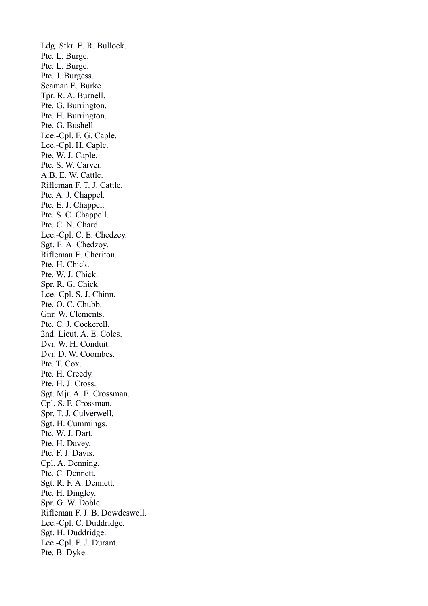Ldg. Stkr. E. R. Bullock. Pte. L. Burge. Pte. L. Burge. Pte. J. Burgess. Seaman E. Burke. Tpr. R. A. Burnell. Pte. G. Burrington. Pte. H. Burrington. Pte. G. Bushell. Lce.-Cpl. F. G. Caple. Lce.-Cpl. H. Caple. Pte, W. J. Caple. Pte. S. W. Carver. A.B. E. W. Cattle. Rifleman F. T. J. Cattle. Pte. A. J. Chappel. Pte. E. J. Chappel. Pte. S. C. Chappell. Pte. C. N. Chard. Lce.-Cpl. C. E. Chedzey. Sgt. E. A. Chedzoy. Rifleman E. Cheriton. Pte. H. Chick. Pte. W. J. Chick. Spr. R. G. Chick. Lce.-Cpl. S. J. Chinn. Pte. O. C. Chubb. Gnr. W. Clements. Pte. C. J. Cockerell. 2nd. Lieut. A. E. Coles. Dvr. W. H. Conduit. Dvr. D. W. Coombes. Pte. T. Cox. Pte. H. Creedy. Pte. H. J. Cross. Sgt. Mjr. A. E. Crossman. Cpl. S. F. Crossman. Spr. T. J. Culverwell. Sgt. H. Cummings. Pte. W. J. Dart. Pte. H. Davey. Pte. F. J. Davis. Cpl. A. Denning. Pte. C. Dennett. Sgt. R. F. A. Dennett. Pte. H. Dingley. Spr. G. W. Doble. Rifleman F. J. B. Dowdeswell. Lce.-Cpl. C. Duddridge. Sgt. H. Duddridge. Lce.-Cpl. F. J. Durant. Pte. B. Dyke.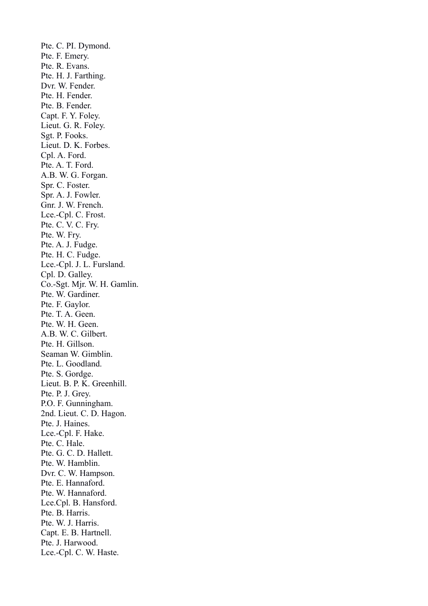Pte. C. PI. Dymond. Pte. F. Emery. Pte. R. Evans. Pte. H. J. Farthing. Dvr. W. Fender. Pte. H. Fender. Pte. B. Fender. Capt. F. Y. Foley. Lieut. G. R. Foley. Sgt. P. Fooks. Lieut. D. K. Forbes. Cpl. A. Ford. Pte. A. T. Ford. A.B. W. G. Forgan. Spr. C. Foster. Spr. A. J. Fowler. Gnr. J. W. French. Lce.-Cpl. C. Frost. Pte. C. V. C. Fry. Pte. W. Fry. Pte. A. J. Fudge. Pte. H. C. Fudge. Lce.-Cpl. J. L. Fursland. Cpl. D. Galley. Co.-Sgt. Mjr. W. H. Gamlin. Pte. W. Gardiner. Pte. F. Gaylor. Pte. T. A. Geen. Pte. W. H. Geen. A.B. W. C. Gilbert. Pte. H. Gillson. Seaman W. Gimblin. Pte. L. Goodland. Pte. S. Gordge. Lieut. B. P. K. Greenhill. Pte. P. J. Grey. P.O. F. Gunningham. 2nd. Lieut. C. D. Hagon. Pte. J. Haines. Lce.-Cpl. F. Hake. Pte. C. Hale. Pte. G. C. D. Hallett. Pte. W. Hamblin. Dvr. C. W. Hampson. Pte. E. Hannaford. Pte. W. Hannaford. Lce.Cpl. B. Hansford. Pte. B. Harris. Pte. W. J. Harris. Capt. E. B. Hartnell. Pte. J. Harwood. Lce.-Cpl. C. W. Haste.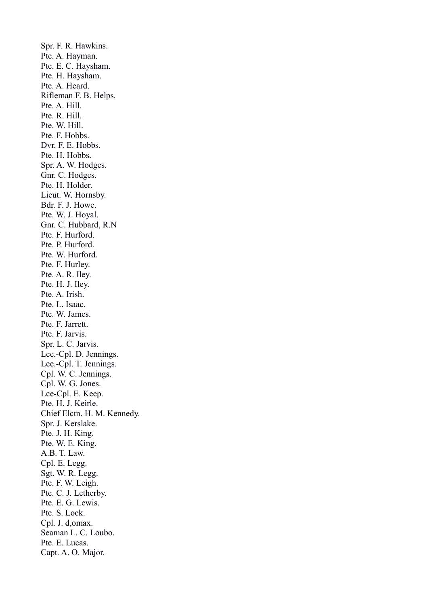Spr. F. R. Hawkins. Pte. A. Hayman. Pte. E. C. Haysham. Pte. H. Haysham. Pte. A. Heard. Rifleman F. B. Helps. Pte. A. Hill. Pte. R. Hill. Pte. W. Hill. Pte. F. Hobbs. Dvr. F. E. Hobbs. Pte. H. Hobbs. Spr. A. W. Hodges. Gnr. C. Hodges. Pte. H. Holder. Lieut. W. Hornsby. Bdr. F. J. Howe. Pte. W. J. Hoyal. Gnr. C. Hubbard, R.N Pte. F. Hurford. Pte. P. Hurford. Pte. W. Hurford. Pte. F. Hurley. Pte. A. R. Iley. Pte. H. J. Iley. Pte. A. Irish. Pte. L. Isaac. Pte. W. James. Pte. F. Jarrett. Pte. F. Jarvis. Spr. L. C. Jarvis. Lce.-Cpl. D. Jennings. Lce.-Cpl. T. Jennings. Cpl. W. C. Jennings. Cpl. W. G. Jones. Lce-Cpl. E. Keep. Pte. H. J. Keirle. Chief Elctn. H. M. Kennedy. Spr. J. Kerslake. Pte. J. H. King. Pte. W. E. King. A.B. T. Law. Cpl. E. Legg. Sgt. W. R. Legg. Pte. F. W. Leigh. Pte. C. J. Letherby. Pte. E. G. Lewis. Pte. S. Lock. Cpl. J. d,omax. Seaman L. C. Loubo. Pte. E. Lucas. Capt. A. O. Major.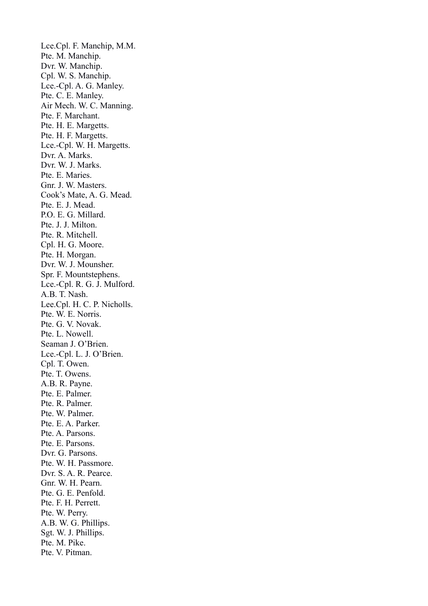Lce.Cpl. F. Manchip, M.M. Pte. M. Manchip. Dvr. W. Manchip. Cpl. W. S. Manchip. Lce.-Cpl. A. G. Manley. Pte. C. E. Manley. Air Mech. W. C. Manning. Pte. F. Marchant. Pte. H. E. Margetts. Pte. H. F. Margetts. Lce.-Cpl. W. H. Margetts. Dvr. A. Marks. Dvr. W. J. Marks. Pte. E. Maries. Gnr. J. W. Masters. Cook's Mate, A. G. Mead. Pte. E. J. Mead. P.O. E. G. Millard. Pte. J. J. Milton. Pte. R. Mitchell. Cpl. H. G. Moore. Pte. H. Morgan. Dvr. W. J. Mounsher. Spr. F. Mountstephens. Lce.-Cpl. R. G. J. Mulford. A.B. T. Nash. Lee.Cpl. H. C. P. Nicholls. Pte. W. E. Norris. Pte. G. V. Novak. Pte. L. Nowell. Seaman J. O'Brien. Lce.-Cpl. L. J. O'Brien. Cpl. T. Owen. Pte. T. Owens. A.B. R. Payne. Pte. E. Palmer. Pte. R. Palmer. Pte. W. Palmer. Pte. E. A. Parker. Pte. A. Parsons. Pte. E. Parsons. Dvr. G. Parsons. Pte. W. H. Passmore. Dvr. S. A. R. Pearce. Gnr. W. H. Pearn. Pte. G. E. Penfold. Pte. F. H. Perrett. Pte. W. Perry. A.B. W. G. Phillips. Sgt. W. J. Phillips. Pte. M. Pike. Pte. V. Pitman.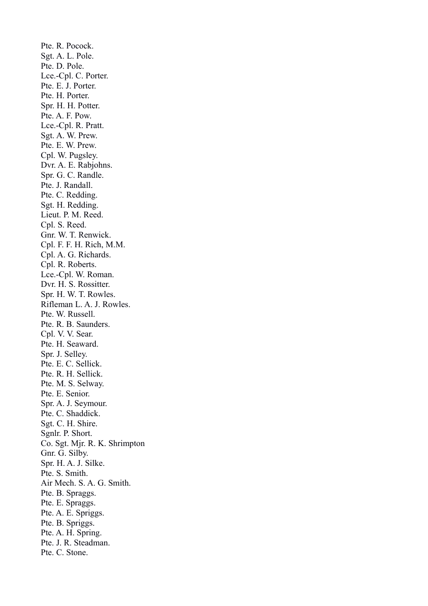Pte. R. Pocock. Sgt. A. L. Pole. Pte. D. Pole. Lce.-Cpl. C. Porter. Pte. E. J. Porter. Pte. H. Porter. Spr. H. H. Potter. Pte. A. F. Pow. Lce.-Cpl. R. Pratt. Sgt. A. W. Prew. Pte. E. W. Prew. Cpl. W. Pugsley. Dvr. A. E. Rabjohns. Spr. G. C. Randle. Pte. J. Randall. Pte. C. Redding. Sgt. H. Redding. Lieut. P. M. Reed. Cpl. S. Reed. Gnr. W. T. Renwick. Cpl. F. F. H. Rich, M.M. Cpl. A. G. Richards. Cpl. R. Roberts. Lce.-Cpl. W. Roman. Dvr. H. S. Rossitter. Spr. H. W. T. Rowles. Rifleman L. A. J. Rowles. Pte. W. Russell. Pte. R. B. Saunders. Cpl. V. V. Sear. Pte. H. Seaward. Spr. J. Selley. Pte. E. C. Sellick. Pte. R. H. Sellick. Pte. M. S. Selway. Pte. E. Senior. Spr. A. J. Seymour. Pte. C. Shaddick. Sgt. C. H. Shire. Sgnlr. P. Short. Co. Sgt. Mjr. R. K. Shrimpton Gnr. G. Silby. Spr. H. A. J. Silke. Pte. S. Smith. Air Mech. S. A. G. Smith. Pte. B. Spraggs. Pte. E. Spraggs. Pte. A. E. Spriggs. Pte. B. Spriggs. Pte. A. H. Spring. Pte. J. R. Steadman. Pte. C. Stone.